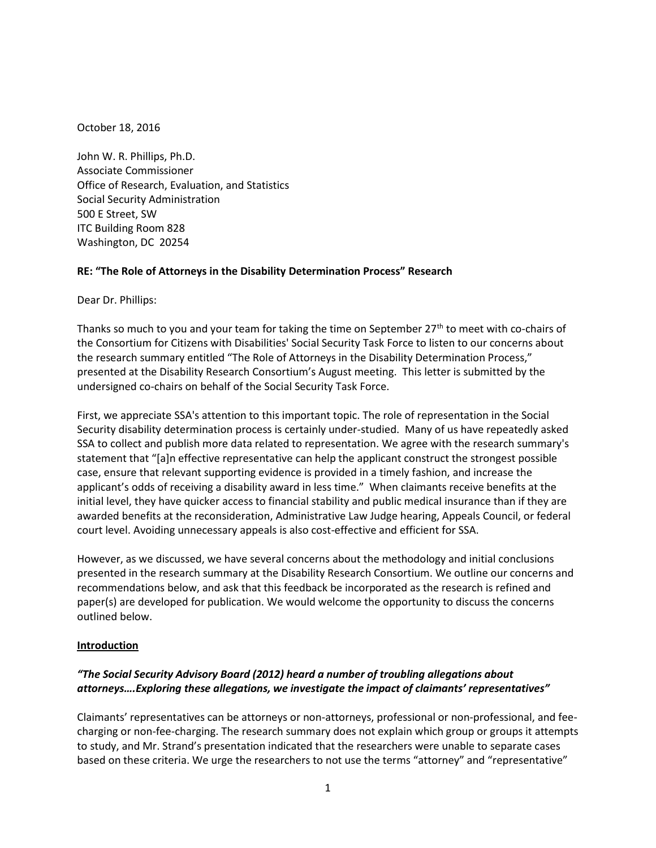October 18, 2016

John W. R. Phillips, Ph.D. Associate Commissioner Office of Research, Evaluation, and Statistics Social Security Administration 500 E Street, SW ITC Building Room 828 Washington, DC 20254

## **RE: "The Role of Attorneys in the Disability Determination Process" Research**

Dear Dr. Phillips:

Thanks so much to you and your team for taking the time on September  $27<sup>th</sup>$  to meet with co-chairs of the Consortium for Citizens with Disabilities' Social Security Task Force to listen to our concerns about the research summary entitled "The Role of Attorneys in the Disability Determination Process," presented at the Disability Research Consortium's August meeting. This letter is submitted by the undersigned co-chairs on behalf of the Social Security Task Force.

First, we appreciate SSA's attention to this important topic. The role of representation in the Social Security disability determination process is certainly under-studied. Many of us have repeatedly asked SSA to collect and publish more data related to representation. We agree with the research summary's statement that "[a]n effective representative can help the applicant construct the strongest possible case, ensure that relevant supporting evidence is provided in a timely fashion, and increase the applicant's odds of receiving a disability award in less time." When claimants receive benefits at the initial level, they have quicker access to financial stability and public medical insurance than if they are awarded benefits at the reconsideration, Administrative Law Judge hearing, Appeals Council, or federal court level. Avoiding unnecessary appeals is also cost-effective and efficient for SSA.

However, as we discussed, we have several concerns about the methodology and initial conclusions presented in the research summary at the Disability Research Consortium. We outline our concerns and recommendations below, and ask that this feedback be incorporated as the research is refined and paper(s) are developed for publication. We would welcome the opportunity to discuss the concerns outlined below.

### **Introduction**

# *"The Social Security Advisory Board (2012) heard a number of troubling allegations about attorneys….Exploring these allegations, we investigate the impact of claimants' representatives"*

Claimants' representatives can be attorneys or non-attorneys, professional or non-professional, and feecharging or non-fee-charging. The research summary does not explain which group or groups it attempts to study, and Mr. Strand's presentation indicated that the researchers were unable to separate cases based on these criteria. We urge the researchers to not use the terms "attorney" and "representative"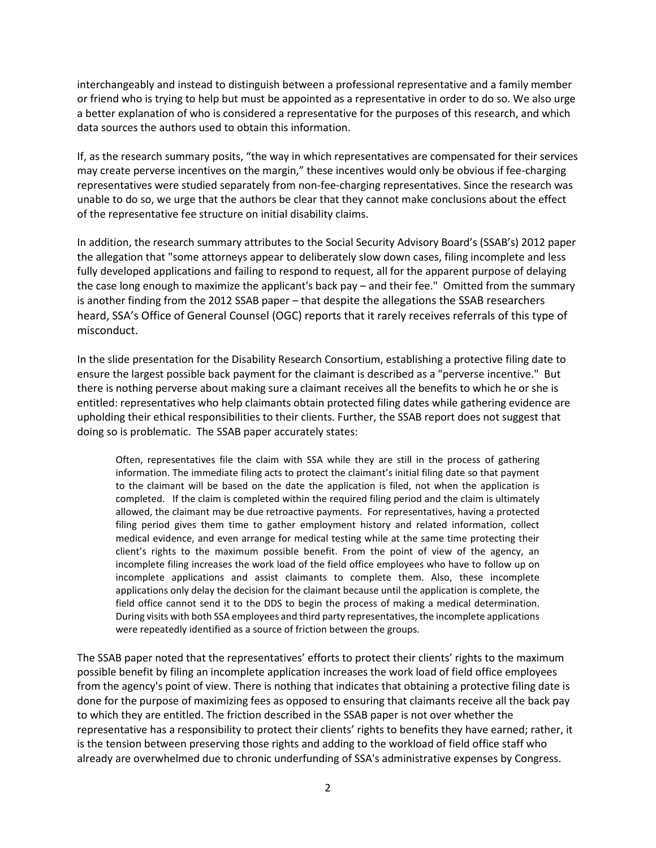interchangeably and instead to distinguish between a professional representative and a family member or friend who is trying to help but must be appointed as a representative in order to do so. We also urge a better explanation of who is considered a representative for the purposes of this research, and which data sources the authors used to obtain this information.

If, as the research summary posits, "the way in which representatives are compensated for their services may create perverse incentives on the margin," these incentives would only be obvious if fee-charging representatives were studied separately from non-fee-charging representatives. Since the research was unable to do so, we urge that the authors be clear that they cannot make conclusions about the effect of the representative fee structure on initial disability claims.

In addition, the research summary attributes to the Social Security Advisory Board's (SSAB's) 2012 paper the allegation that "some attorneys appear to deliberately slow down cases, filing incomplete and less fully developed applications and failing to respond to request, all for the apparent purpose of delaying the case long enough to maximize the applicant's back pay – and their fee." Omitted from the summary is another finding from the 2012 SSAB paper – that despite the allegations the SSAB researchers heard, SSA's Office of General Counsel (OGC) reports that it rarely receives referrals of this type of misconduct.

In the slide presentation for the Disability Research Consortium, establishing a protective filing date to ensure the largest possible back payment for the claimant is described as a "perverse incentive." But there is nothing perverse about making sure a claimant receives all the benefits to which he or she is entitled: representatives who help claimants obtain protected filing dates while gathering evidence are upholding their ethical responsibilities to their clients. Further, the SSAB report does not suggest that doing so is problematic. The SSAB paper accurately states:

Often, representatives file the claim with SSA while they are still in the process of gathering information. The immediate filing acts to protect the claimant's initial filing date so that payment to the claimant will be based on the date the application is filed, not when the application is completed. If the claim is completed within the required filing period and the claim is ultimately allowed, the claimant may be due retroactive payments. For representatives, having a protected filing period gives them time to gather employment history and related information, collect medical evidence, and even arrange for medical testing while at the same time protecting their client's rights to the maximum possible benefit. From the point of view of the agency, an incomplete filing increases the work load of the field office employees who have to follow up on incomplete applications and assist claimants to complete them. Also, these incomplete applications only delay the decision for the claimant because until the application is complete, the field office cannot send it to the DDS to begin the process of making a medical determination. During visits with both SSA employees and third party representatives, the incomplete applications were repeatedly identified as a source of friction between the groups.

The SSAB paper noted that the representatives' efforts to protect their clients' rights to the maximum possible benefit by filing an incomplete application increases the work load of field office employees from the agency's point of view. There is nothing that indicates that obtaining a protective filing date is done for the purpose of maximizing fees as opposed to ensuring that claimants receive all the back pay to which they are entitled. The friction described in the SSAB paper is not over whether the representative has a responsibility to protect their clients' rights to benefits they have earned; rather, it is the tension between preserving those rights and adding to the workload of field office staff who already are overwhelmed due to chronic underfunding of SSA's administrative expenses by Congress.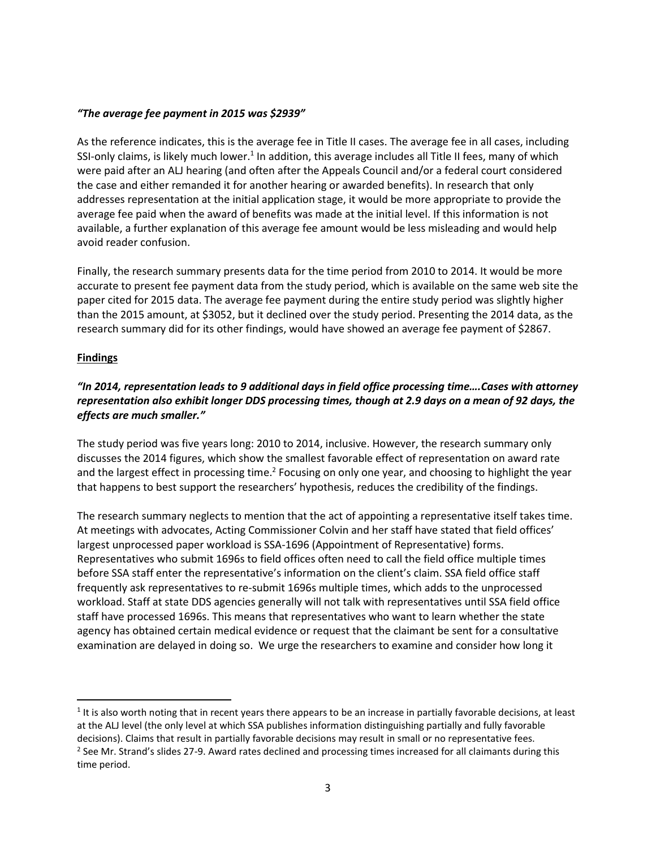#### *"The average fee payment in 2015 was \$2939"*

As the reference indicates, this is the average fee in Title II cases. The average fee in all cases, including SSI-only claims, is likely much lower.<sup>1</sup> In addition, this average includes all Title II fees, many of which were paid after an ALJ hearing (and often after the Appeals Council and/or a federal court considered the case and either remanded it for another hearing or awarded benefits). In research that only addresses representation at the initial application stage, it would be more appropriate to provide the average fee paid when the award of benefits was made at the initial level. If this information is not available, a further explanation of this average fee amount would be less misleading and would help avoid reader confusion.

Finally, the research summary presents data for the time period from 2010 to 2014. It would be more accurate to present fee payment data from the study period, which is available on the same web site the paper cited for 2015 data. The average fee payment during the entire study period was slightly higher than the 2015 amount, at \$3052, but it declined over the study period. Presenting the 2014 data, as the research summary did for its other findings, would have showed an average fee payment of \$2867.

### **Findings**

 $\overline{\phantom{a}}$ 

# *"In 2014, representation leads to 9 additional days in field office processing time….Cases with attorney representation also exhibit longer DDS processing times, though at 2.9 days on a mean of 92 days, the effects are much smaller."*

The study period was five years long: 2010 to 2014, inclusive. However, the research summary only discusses the 2014 figures, which show the smallest favorable effect of representation on award rate and the largest effect in processing time.<sup>2</sup> Focusing on only one year, and choosing to highlight the year that happens to best support the researchers' hypothesis, reduces the credibility of the findings.

The research summary neglects to mention that the act of appointing a representative itself takes time. At meetings with advocates, Acting Commissioner Colvin and her staff have stated that field offices' largest unprocessed paper workload is SSA-1696 (Appointment of Representative) forms. Representatives who submit 1696s to field offices often need to call the field office multiple times before SSA staff enter the representative's information on the client's claim. SSA field office staff frequently ask representatives to re-submit 1696s multiple times, which adds to the unprocessed workload. Staff at state DDS agencies generally will not talk with representatives until SSA field office staff have processed 1696s. This means that representatives who want to learn whether the state agency has obtained certain medical evidence or request that the claimant be sent for a consultative examination are delayed in doing so. We urge the researchers to examine and consider how long it

 $1$  It is also worth noting that in recent years there appears to be an increase in partially favorable decisions, at least at the ALJ level (the only level at which SSA publishes information distinguishing partially and fully favorable decisions). Claims that result in partially favorable decisions may result in small or no representative fees. <sup>2</sup> See Mr. Strand's slides 27-9. Award rates declined and processing times increased for all claimants during this time period.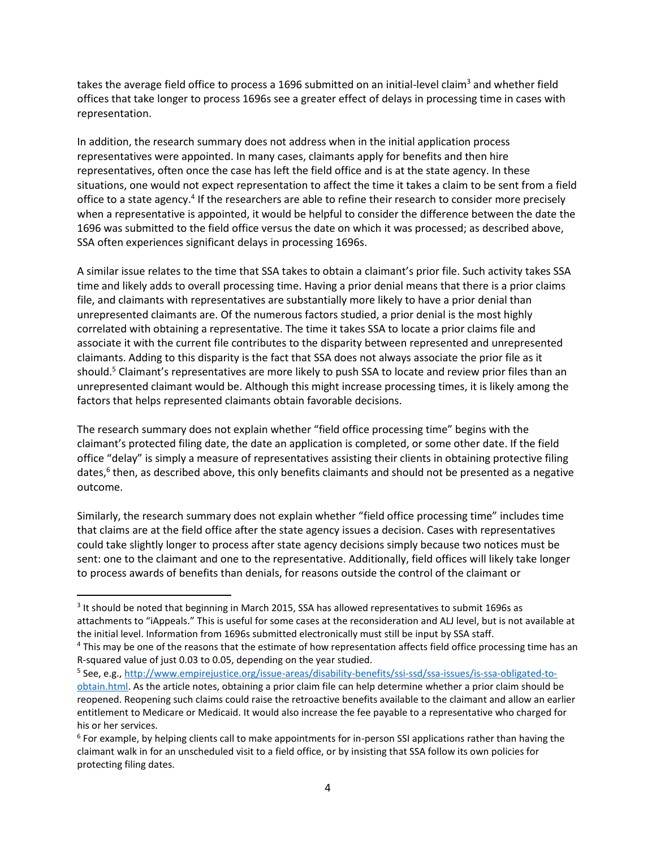takes the average field office to process a 1696 submitted on an initial-level claim<sup>3</sup> and whether field offices that take longer to process 1696s see a greater effect of delays in processing time in cases with representation.

In addition, the research summary does not address when in the initial application process representatives were appointed. In many cases, claimants apply for benefits and then hire representatives, often once the case has left the field office and is at the state agency. In these situations, one would not expect representation to affect the time it takes a claim to be sent from a field office to a state agency.<sup>4</sup> If the researchers are able to refine their research to consider more precisely when a representative is appointed, it would be helpful to consider the difference between the date the 1696 was submitted to the field office versus the date on which it was processed; as described above, SSA often experiences significant delays in processing 1696s.

A similar issue relates to the time that SSA takes to obtain a claimant's prior file. Such activity takes SSA time and likely adds to overall processing time. Having a prior denial means that there is a prior claims file, and claimants with representatives are substantially more likely to have a prior denial than unrepresented claimants are. Of the numerous factors studied, a prior denial is the most highly correlated with obtaining a representative. The time it takes SSA to locate a prior claims file and associate it with the current file contributes to the disparity between represented and unrepresented claimants. Adding to this disparity is the fact that SSA does not always associate the prior file as it should.<sup>5</sup> Claimant's representatives are more likely to push SSA to locate and review prior files than an unrepresented claimant would be. Although this might increase processing times, it is likely among the factors that helps represented claimants obtain favorable decisions.

The research summary does not explain whether "field office processing time" begins with the claimant's protected filing date, the date an application is completed, or some other date. If the field office "delay" is simply a measure of representatives assisting their clients in obtaining protective filing dates,<sup>6</sup> then, as described above, this only benefits claimants and should not be presented as a negative outcome.

Similarly, the research summary does not explain whether "field office processing time" includes time that claims are at the field office after the state agency issues a decision. Cases with representatives could take slightly longer to process after state agency decisions simply because two notices must be sent: one to the claimant and one to the representative. Additionally, field offices will likely take longer to process awards of benefits than denials, for reasons outside the control of the claimant or

 $\overline{\phantom{a}}$ 

 $3$  It should be noted that beginning in March 2015, SSA has allowed representatives to submit 1696s as attachments to "iAppeals." This is useful for some cases at the reconsideration and ALJ level, but is not available at the initial level. Information from 1696s submitted electronically must still be input by SSA staff.

<sup>4</sup> This may be one of the reasons that the estimate of how representation affects field office processing time has an R-squared value of just 0.03 to 0.05, depending on the year studied.

<sup>&</sup>lt;sup>5</sup> See, e.g., <u>http://www.empirejustice.org/issue-areas/disability-benefits/ssi-ssd/ssa-issues/is-ssa-obligated-to-</u> [obtain.html.](http://www.empirejustice.org/issue-areas/disability-benefits/ssi-ssd/ssa-issues/is-ssa-obligated-to-obtain.html) As the article notes, obtaining a prior claim file can help determine whether a prior claim should be reopened. Reopening such claims could raise the retroactive benefits available to the claimant and allow an earlier entitlement to Medicare or Medicaid. It would also increase the fee payable to a representative who charged for his or her services.

<sup>6</sup> For example, by helping clients call to make appointments for in-person SSI applications rather than having the claimant walk in for an unscheduled visit to a field office, or by insisting that SSA follow its own policies for protecting filing dates.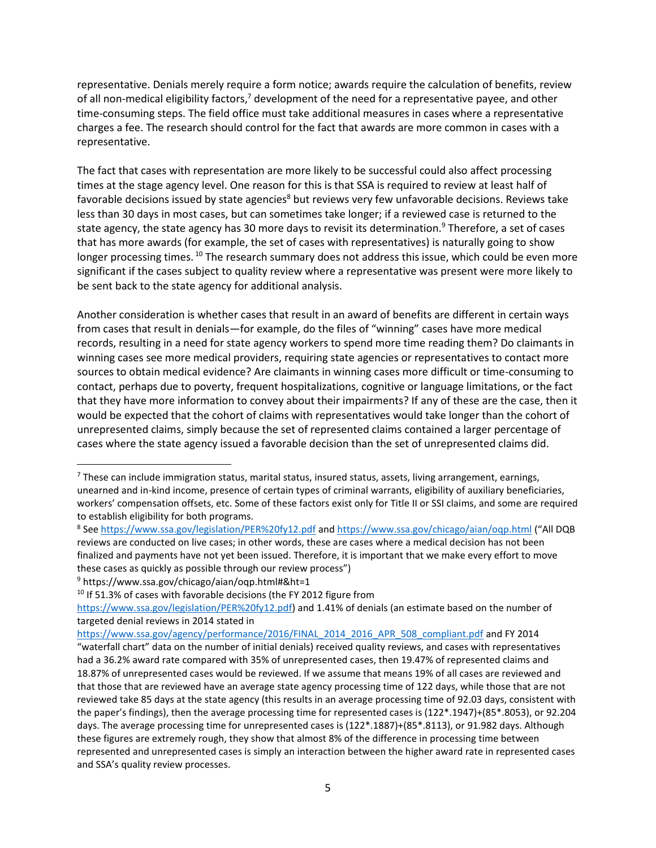representative. Denials merely require a form notice; awards require the calculation of benefits, review of all non-medical eligibility factors,<sup>7</sup> development of the need for a representative payee, and other time-consuming steps. The field office must take additional measures in cases where a representative charges a fee. The research should control for the fact that awards are more common in cases with a representative.

The fact that cases with representation are more likely to be successful could also affect processing times at the stage agency level. One reason for this is that SSA is required to review at least half of favorable decisions issued by state agencies<sup>8</sup> but reviews very few unfavorable decisions. Reviews take less than 30 days in most cases, but can sometimes take longer; if a reviewed case is returned to the state agency, the state agency has 30 more days to revisit its determination.<sup>9</sup> Therefore, a set of cases that has more awards (for example, the set of cases with representatives) is naturally going to show longer processing times. <sup>10</sup> The research summary does not address this issue, which could be even more significant if the cases subject to quality review where a representative was present were more likely to be sent back to the state agency for additional analysis.

Another consideration is whether cases that result in an award of benefits are different in certain ways from cases that result in denials—for example, do the files of "winning" cases have more medical records, resulting in a need for state agency workers to spend more time reading them? Do claimants in winning cases see more medical providers, requiring state agencies or representatives to contact more sources to obtain medical evidence? Are claimants in winning cases more difficult or time-consuming to contact, perhaps due to poverty, frequent hospitalizations, cognitive or language limitations, or the fact that they have more information to convey about their impairments? If any of these are the case, then it would be expected that the cohort of claims with representatives would take longer than the cohort of unrepresented claims, simply because the set of represented claims contained a larger percentage of cases where the state agency issued a favorable decision than the set of unrepresented claims did.

 $\overline{\phantom{a}}$ 

<sup>7</sup> These can include immigration status, marital status, insured status, assets, living arrangement, earnings, unearned and in-kind income, presence of certain types of criminal warrants, eligibility of auxiliary beneficiaries, workers' compensation offsets, etc. Some of these factors exist only for Title II or SSI claims, and some are required to establish eligibility for both programs.

<sup>&</sup>lt;sup>8</sup> See<https://www.ssa.gov/legislation/PER%20fy12.pdf> and<https://www.ssa.gov/chicago/aian/oqp.html> ("All DQB reviews are conducted on live cases; in other words, these are cases where a medical decision has not been finalized and payments have not yet been issued. Therefore, it is important that we make every effort to move these cases as quickly as possible through our review process")

<sup>9</sup> https://www.ssa.gov/chicago/aian/oqp.html#&ht=1

<sup>&</sup>lt;sup>10</sup> If 51.3% of cases with favorable decisions (the FY 2012 figure from

[https://www.ssa.gov/legislation/PER%20fy12.pdf\)](https://www.ssa.gov/legislation/PER%20fy12.pdf) and 1.41% of denials (an estimate based on the number of targeted denial reviews in 2014 stated in

[https://www.ssa.gov/agency/performance/2016/FINAL\\_2014\\_2016\\_APR\\_508\\_compliant.pdf](https://www.ssa.gov/agency/performance/2016/FINAL_2014_2016_APR_508_compliant.pdf) and FY 2014 "waterfall chart" data on the number of initial denials) received quality reviews, and cases with representatives had a 36.2% award rate compared with 35% of unrepresented cases, then 19.47% of represented claims and 18.87% of unrepresented cases would be reviewed. If we assume that means 19% of all cases are reviewed and that those that are reviewed have an average state agency processing time of 122 days, while those that are not reviewed take 85 days at the state agency (this results in an average processing time of 92.03 days, consistent with the paper's findings), then the average processing time for represented cases is (122\*.1947)+(85\*.8053), or 92.204 days. The average processing time for unrepresented cases is (122\*.1887)+(85\*.8113), or 91.982 days. Although these figures are extremely rough, they show that almost 8% of the difference in processing time between represented and unrepresented cases is simply an interaction between the higher award rate in represented cases and SSA's quality review processes.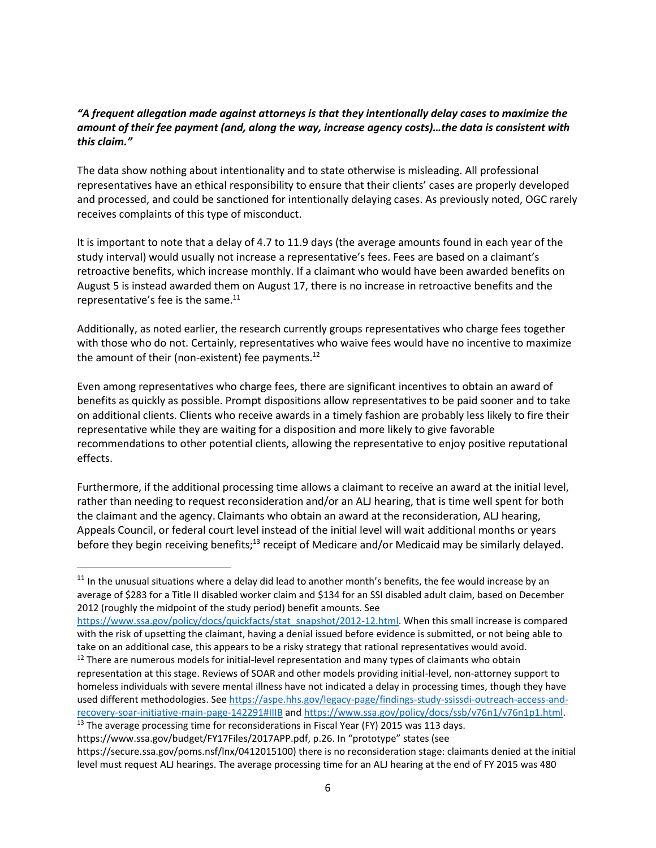## *"A frequent allegation made against attorneys is that they intentionally delay cases to maximize the amount of their fee payment (and, along the way, increase agency costs)…the data is consistent with this claim."*

The data show nothing about intentionality and to state otherwise is misleading. All professional representatives have an ethical responsibility to ensure that their clients' cases are properly developed and processed, and could be sanctioned for intentionally delaying cases. As previously noted, OGC rarely receives complaints of this type of misconduct.

It is important to note that a delay of 4.7 to 11.9 days (the average amounts found in each year of the study interval) would usually not increase a representative's fees. Fees are based on a claimant's retroactive benefits, which increase monthly. If a claimant who would have been awarded benefits on August 5 is instead awarded them on August 17, there is no increase in retroactive benefits and the representative's fee is the same. $^{11}$ 

Additionally, as noted earlier, the research currently groups representatives who charge fees together with those who do not. Certainly, representatives who waive fees would have no incentive to maximize the amount of their (non-existent) fee payments.<sup>12</sup>

Even among representatives who charge fees, there are significant incentives to obtain an award of benefits as quickly as possible. Prompt dispositions allow representatives to be paid sooner and to take on additional clients. Clients who receive awards in a timely fashion are probably less likely to fire their representative while they are waiting for a disposition and more likely to give favorable recommendations to other potential clients, allowing the representative to enjoy positive reputational effects.

Furthermore, if the additional processing time allows a claimant to receive an award at the initial level, rather than needing to request reconsideration and/or an ALJ hearing, that is time well spent for both the claimant and the agency. Claimants who obtain an award at the reconsideration, ALJ hearing, Appeals Council, or federal court level instead of the initial level will wait additional months or years before they begin receiving benefits;<sup>13</sup> receipt of Medicare and/or Medicaid may be similarly delayed.

 $\overline{a}$ 

 $11$  In the unusual situations where a delay did lead to another month's benefits, the fee would increase by an average of \$283 for a Title II disabled worker claim and \$134 for an SSI disabled adult claim, based on December 2012 (roughly the midpoint of the study period) benefit amounts. See

[https://www.ssa.gov/policy/docs/quickfacts/stat\\_snapshot/2012-12.html.](https://www.ssa.gov/policy/docs/quickfacts/stat_snapshot/2012-12.html) When this small increase is compared with the risk of upsetting the claimant, having a denial issued before evidence is submitted, or not being able to take on an additional case, this appears to be a risky strategy that rational representatives would avoid.  $12$  There are numerous models for initial-level representation and many types of claimants who obtain

representation at this stage. Reviews of SOAR and other models providing initial-level, non-attorney support to homeless individuals with severe mental illness have not indicated a delay in processing times, though they have used different methodologies. See [https://aspe.hhs.gov/legacy-page/findings-study-ssissdi-outreach-access-and](https://aspe.hhs.gov/legacy-page/findings-study-ssissdi-outreach-access-and-recovery-soar-initiative-main-page-142291#IIIB)[recovery-soar-initiative-main-page-142291#IIIB](https://aspe.hhs.gov/legacy-page/findings-study-ssissdi-outreach-access-and-recovery-soar-initiative-main-page-142291#IIIB) and [https://www.ssa.gov/policy/docs/ssb/v76n1/v76n1p1.html.](https://www.ssa.gov/policy/docs/ssb/v76n1/v76n1p1.html)

 $13$  The average processing time for reconsiderations in Fiscal Year (FY) 2015 was 113 days. https://www.ssa.gov/budget/FY17Files/2017APP.pdf, p.26. In "prototype" states (see

https://secure.ssa.gov/poms.nsf/lnx/0412015100) there is no reconsideration stage: claimants denied at the initial level must request ALJ hearings. The average processing time for an ALJ hearing at the end of FY 2015 was 480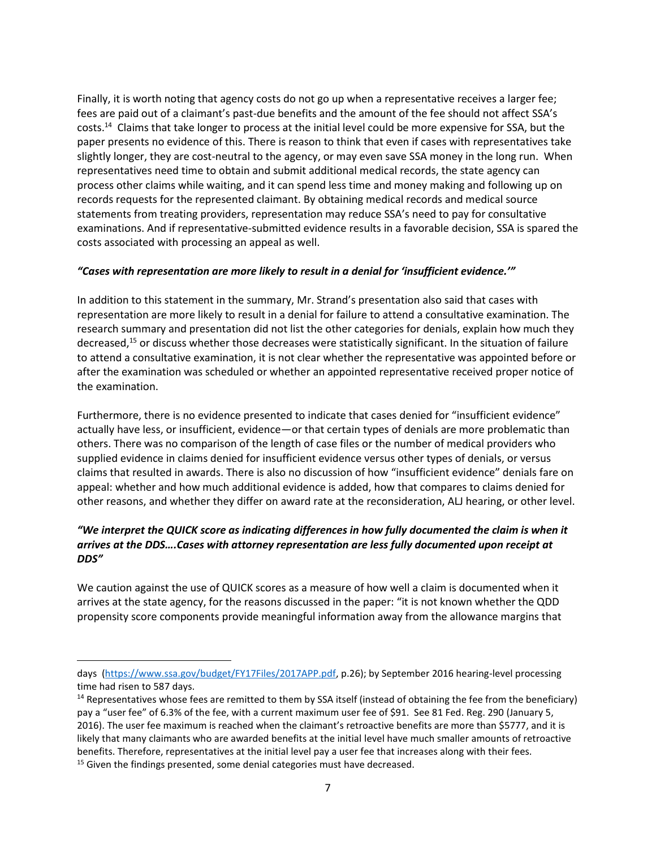Finally, it is worth noting that agency costs do not go up when a representative receives a larger fee; fees are paid out of a claimant's past-due benefits and the amount of the fee should not affect SSA's costs.<sup>14</sup> Claims that take longer to process at the initial level could be more expensive for SSA, but the paper presents no evidence of this. There is reason to think that even if cases with representatives take slightly longer, they are cost-neutral to the agency, or may even save SSA money in the long run. When representatives need time to obtain and submit additional medical records, the state agency can process other claims while waiting, and it can spend less time and money making and following up on records requests for the represented claimant. By obtaining medical records and medical source statements from treating providers, representation may reduce SSA's need to pay for consultative examinations. And if representative-submitted evidence results in a favorable decision, SSA is spared the costs associated with processing an appeal as well.

### *"Cases with representation are more likely to result in a denial for 'insufficient evidence.'"*

In addition to this statement in the summary, Mr. Strand's presentation also said that cases with representation are more likely to result in a denial for failure to attend a consultative examination. The research summary and presentation did not list the other categories for denials, explain how much they decreased,<sup>15</sup> or discuss whether those decreases were statistically significant. In the situation of failure to attend a consultative examination, it is not clear whether the representative was appointed before or after the examination was scheduled or whether an appointed representative received proper notice of the examination.

Furthermore, there is no evidence presented to indicate that cases denied for "insufficient evidence" actually have less, or insufficient, evidence—or that certain types of denials are more problematic than others. There was no comparison of the length of case files or the number of medical providers who supplied evidence in claims denied for insufficient evidence versus other types of denials, or versus claims that resulted in awards. There is also no discussion of how "insufficient evidence" denials fare on appeal: whether and how much additional evidence is added, how that compares to claims denied for other reasons, and whether they differ on award rate at the reconsideration, ALJ hearing, or other level.

# *"We interpret the QUICK score as indicating differences in how fully documented the claim is when it arrives at the DDS….Cases with attorney representation are less fully documented upon receipt at DDS"*

We caution against the use of QUICK scores as a measure of how well a claim is documented when it arrives at the state agency, for the reasons discussed in the paper: "it is not known whether the QDD propensity score components provide meaningful information away from the allowance margins that

 $\overline{a}$ 

days [\(https://www.ssa.gov/budget/FY17Files/2017APP.pdf,](https://www.ssa.gov/budget/FY17Files/2017APP.pdf) p.26); by September 2016 hearing-level processing time had risen to 587 days.

<sup>&</sup>lt;sup>14</sup> Representatives whose fees are remitted to them by SSA itself (instead of obtaining the fee from the beneficiary) pay a "user fee" of 6.3% of the fee, with a current maximum user fee of \$91. See 81 Fed. Reg. 290 (January 5, 2016). The user fee maximum is reached when the claimant's retroactive benefits are more than \$5777, and it is likely that many claimants who are awarded benefits at the initial level have much smaller amounts of retroactive benefits. Therefore, representatives at the initial level pay a user fee that increases along with their fees. <sup>15</sup> Given the findings presented, some denial categories must have decreased.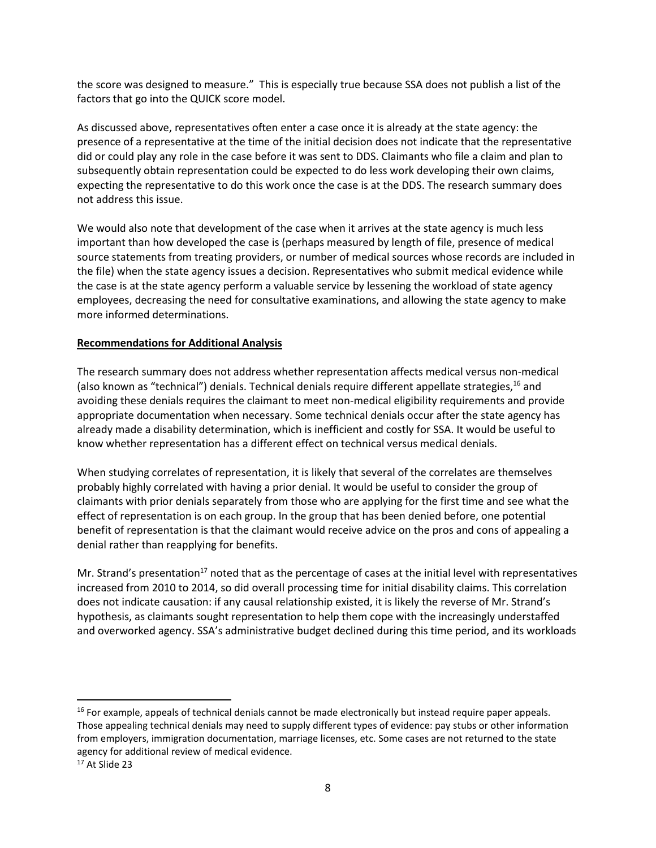the score was designed to measure." This is especially true because SSA does not publish a list of the factors that go into the QUICK score model.

As discussed above, representatives often enter a case once it is already at the state agency: the presence of a representative at the time of the initial decision does not indicate that the representative did or could play any role in the case before it was sent to DDS. Claimants who file a claim and plan to subsequently obtain representation could be expected to do less work developing their own claims, expecting the representative to do this work once the case is at the DDS. The research summary does not address this issue.

We would also note that development of the case when it arrives at the state agency is much less important than how developed the case is (perhaps measured by length of file, presence of medical source statements from treating providers, or number of medical sources whose records are included in the file) when the state agency issues a decision. Representatives who submit medical evidence while the case is at the state agency perform a valuable service by lessening the workload of state agency employees, decreasing the need for consultative examinations, and allowing the state agency to make more informed determinations.

### **Recommendations for Additional Analysis**

The research summary does not address whether representation affects medical versus non-medical (also known as "technical") denials. Technical denials require different appellate strategies,<sup>16</sup> and avoiding these denials requires the claimant to meet non-medical eligibility requirements and provide appropriate documentation when necessary. Some technical denials occur after the state agency has already made a disability determination, which is inefficient and costly for SSA. It would be useful to know whether representation has a different effect on technical versus medical denials.

When studying correlates of representation, it is likely that several of the correlates are themselves probably highly correlated with having a prior denial. It would be useful to consider the group of claimants with prior denials separately from those who are applying for the first time and see what the effect of representation is on each group. In the group that has been denied before, one potential benefit of representation is that the claimant would receive advice on the pros and cons of appealing a denial rather than reapplying for benefits.

Mr. Strand's presentation<sup>17</sup> noted that as the percentage of cases at the initial level with representatives increased from 2010 to 2014, so did overall processing time for initial disability claims. This correlation does not indicate causation: if any causal relationship existed, it is likely the reverse of Mr. Strand's hypothesis, as claimants sought representation to help them cope with the increasingly understaffed and overworked agency. SSA's administrative budget declined during this time period, and its workloads

 $\overline{\phantom{a}}$ 

<sup>&</sup>lt;sup>16</sup> For example, appeals of technical denials cannot be made electronically but instead require paper appeals. Those appealing technical denials may need to supply different types of evidence: pay stubs or other information from employers, immigration documentation, marriage licenses, etc. Some cases are not returned to the state agency for additional review of medical evidence.

<sup>&</sup>lt;sup>17</sup> At Slide 23